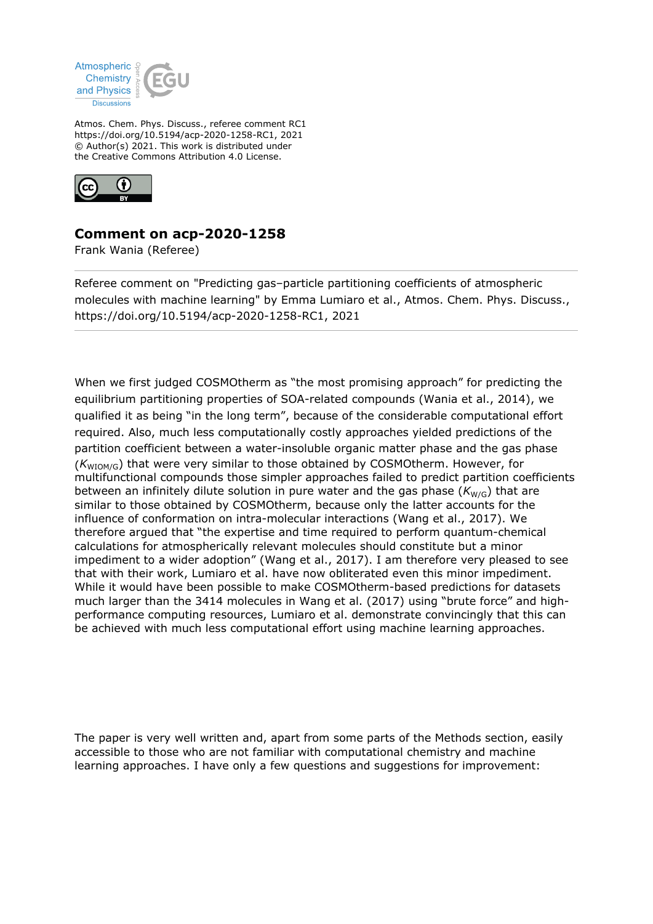

Atmos. Chem. Phys. Discuss., referee comment RC1 https://doi.org/10.5194/acp-2020-1258-RC1, 2021 © Author(s) 2021. This work is distributed under the Creative Commons Attribution 4.0 License.



## **Comment on acp-2020-1258**

Frank Wania (Referee)

Referee comment on "Predicting gas–particle partitioning coefficients of atmospheric molecules with machine learning" by Emma Lumiaro et al., Atmos. Chem. Phys. Discuss., https://doi.org/10.5194/acp-2020-1258-RC1, 2021

When we first judged COSMOtherm as "the most promising approach" for predicting the equilibrium partitioning properties of SOA-related compounds (Wania et al., 2014), we qualified it as being "in the long term", because of the considerable computational effort required. Also, much less computationally costly approaches yielded predictions of the partition coefficient between a water-insoluble organic matter phase and the gas phase ( $K_{\text{WIOM/G}}$ ) that were very similar to those obtained by COSMOtherm. However, for multifunctional compounds those simpler approaches failed to predict partition coefficients between an infinitely dilute solution in pure water and the gas phase  $(K_{W/G})$  that are similar to those obtained by COSMOtherm, because only the latter accounts for the influence of conformation on intra-molecular interactions (Wang et al., 2017). We therefore argued that "the expertise and time required to perform quantum-chemical calculations for atmospherically relevant molecules should constitute but a minor impediment to a wider adoption" (Wang et al., 2017). I am therefore very pleased to see that with their work, Lumiaro et al. have now obliterated even this minor impediment. While it would have been possible to make COSMOtherm-based predictions for datasets much larger than the 3414 molecules in Wang et al. (2017) using "brute force" and highperformance computing resources, Lumiaro et al. demonstrate convincingly that this can be achieved with much less computational effort using machine learning approaches.

The paper is very well written and, apart from some parts of the Methods section, easily accessible to those who are not familiar with computational chemistry and machine learning approaches. I have only a few questions and suggestions for improvement: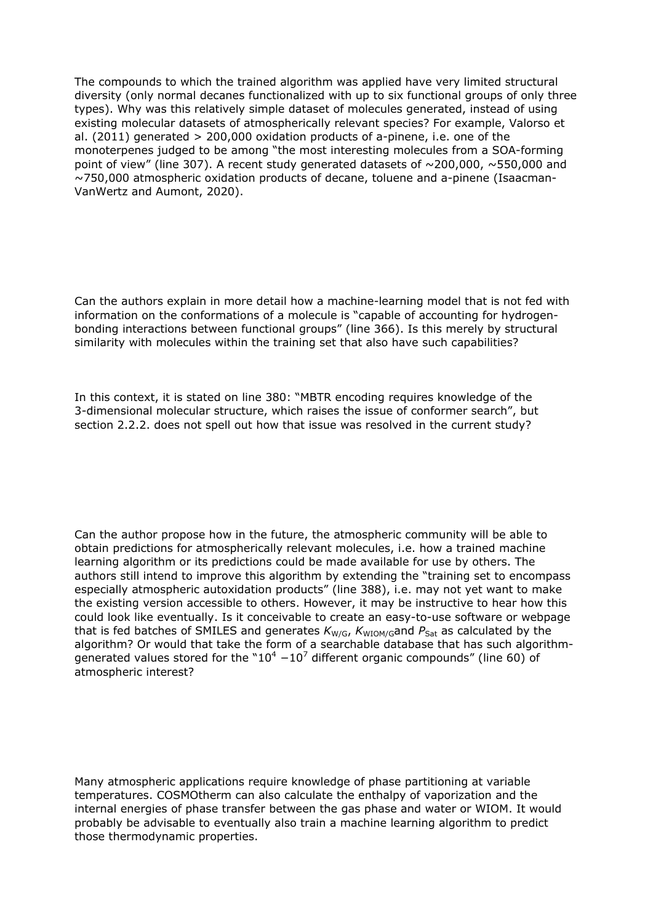The compounds to which the trained algorithm was applied have very limited structural diversity (only normal decanes functionalized with up to six functional groups of only three types). Why was this relatively simple dataset of molecules generated, instead of using existing molecular datasets of atmospherically relevant species? For example, Valorso et al. (2011) generated > 200,000 oxidation products of a-pinene, i.e. one of the monoterpenes judged to be among "the most interesting molecules from a SOA-forming point of view" (line 307). A recent study generated datasets of  $\sim$ 200,000,  $\sim$ 550,000 and ~750,000 atmospheric oxidation products of decane, toluene and a-pinene (Isaacman-VanWertz and Aumont, 2020).

Can the authors explain in more detail how a machine-learning model that is not fed with information on the conformations of a molecule is "capable of accounting for hydrogenbonding interactions between functional groups" (line 366). Is this merely by structural similarity with molecules within the training set that also have such capabilities?

In this context, it is stated on line 380: "MBTR encoding requires knowledge of the 3-dimensional molecular structure, which raises the issue of conformer search", but section 2.2.2. does not spell out how that issue was resolved in the current study?

Can the author propose how in the future, the atmospheric community will be able to obtain predictions for atmospherically relevant molecules, i.e. how a trained machine learning algorithm or its predictions could be made available for use by others. The authors still intend to improve this algorithm by extending the "training set to encompass especially atmospheric autoxidation products" (line 388), i.e. may not yet want to make the existing version accessible to others. However, it may be instructive to hear how this could look like eventually. Is it conceivable to create an easy-to-use software or webpage that is fed batches of SMILES and generates  $K_{W/G}$ ,  $K_{WIGM/G}$  and  $P_{Sat}$  as calculated by the algorithm? Or would that take the form of a searchable database that has such algorithmgenerated values stored for the "10<sup>4</sup>  $-10^7$  different organic compounds" (line 60) of atmospheric interest?

Many atmospheric applications require knowledge of phase partitioning at variable temperatures. COSMOtherm can also calculate the enthalpy of vaporization and the internal energies of phase transfer between the gas phase and water or WIOM. It would probably be advisable to eventually also train a machine learning algorithm to predict those thermodynamic properties.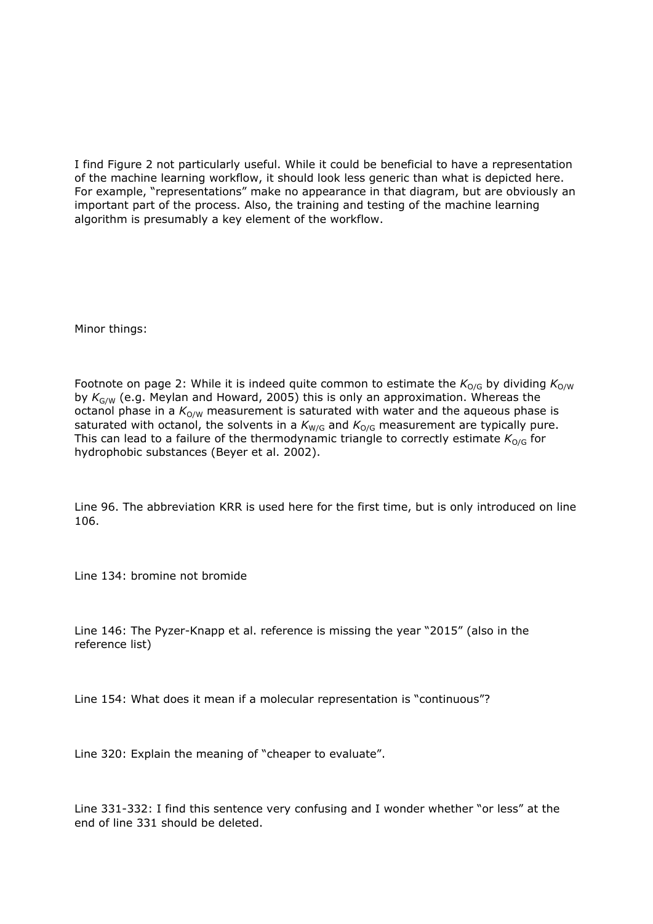I find Figure 2 not particularly useful. While it could be beneficial to have a representation of the machine learning workflow, it should look less generic than what is depicted here. For example, "representations" make no appearance in that diagram, but are obviously an important part of the process. Also, the training and testing of the machine learning algorithm is presumably a key element of the workflow.

Minor things:

Footnote on page 2: While it is indeed quite common to estimate the  $K_{O/G}$  by dividing  $K_{O/W}$ by *K*G/W (e.g. Meylan and Howard, 2005) this is only an approximation. Whereas the octanol phase in a  $K_{O/W}$  measurement is saturated with water and the aqueous phase is saturated with octanol, the solvents in a  $K_{W/G}$  and  $K_{O/G}$  measurement are typically pure. This can lead to a failure of the thermodynamic triangle to correctly estimate  $K_{O/G}$  for hydrophobic substances (Beyer et al. 2002).

Line 96. The abbreviation KRR is used here for the first time, but is only introduced on line 106.

Line 134: bromine not bromide

Line 146: The Pyzer-Knapp et al. reference is missing the year "2015" (also in the reference list)

Line 154: What does it mean if a molecular representation is "continuous"?

Line 320: Explain the meaning of "cheaper to evaluate".

Line 331-332: I find this sentence very confusing and I wonder whether "or less" at the end of line 331 should be deleted.